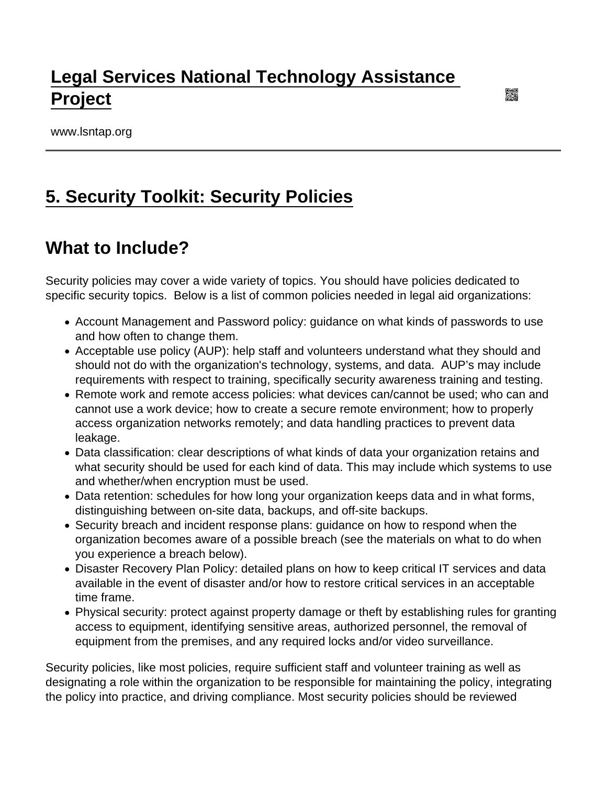## [Legal Services National Technology Assistance](https://www.lsntap.org/)  [Project](https://www.lsntap.org/)

www.lsntap.org

## [5. Security Toolkit: Security Policies](https://www.lsntap.org/node/384/5-security-toolkit-security-policies)

## What to Include?

Security policies may cover a wide variety of topics. You should have policies dedicated to specific security topics. Below is a list of common policies needed in legal aid organizations:

- Account Management and Password policy: guidance on what kinds of passwords to use and how often to change them.
- Acceptable use policy (AUP): help staff and volunteers understand what they should and should not do with the organization's technology, systems, and data. AUP's may include requirements with respect to training, specifically security awareness training and testing.
- Remote work and remote access policies: what devices can/cannot be used; who can and cannot use a work device; how to create a secure remote environment; how to properly access organization networks remotely; and data handling practices to prevent data leakage.
- Data classification: clear descriptions of what kinds of data your organization retains and what security should be used for each kind of data. This may include which systems to use and whether/when encryption must be used.
- Data retention: schedules for how long your organization keeps data and in what forms, distinguishing between on-site data, backups, and off-site backups.
- Security breach and incident response plans: guidance on how to respond when the organization becomes aware of a possible breach (see the materials on what to do when you experience a breach below).
- Disaster Recovery Plan Policy: detailed plans on how to keep critical IT services and data available in the event of disaster and/or how to restore critical services in an acceptable time frame.
- Physical security: protect against property damage or theft by establishing rules for granting access to equipment, identifying sensitive areas, authorized personnel, the removal of equipment from the premises, and any required locks and/or video surveillance.

Security policies, like most policies, require sufficient staff and volunteer training as well as designating a role within the organization to be responsible for maintaining the policy, integrating the policy into practice, and driving compliance. Most security policies should be reviewed